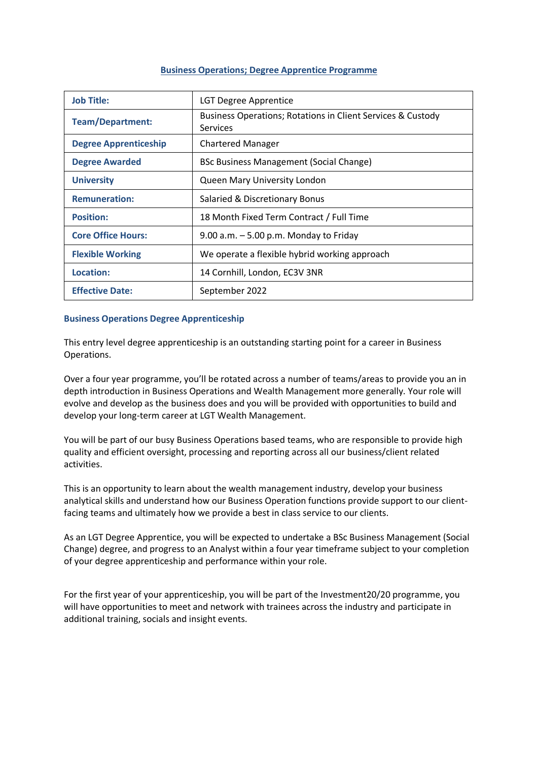# **Business Operations; Degree Apprentice Programme**

| <b>Job Title:</b>            | <b>LGT Degree Apprentice</b>                                                   |  |  |
|------------------------------|--------------------------------------------------------------------------------|--|--|
| <b>Team/Department:</b>      | Business Operations; Rotations in Client Services & Custody<br><b>Services</b> |  |  |
| <b>Degree Apprenticeship</b> | <b>Chartered Manager</b>                                                       |  |  |
| <b>Degree Awarded</b>        | <b>BSc Business Management (Social Change)</b>                                 |  |  |
| <b>University</b>            | Queen Mary University London                                                   |  |  |
| <b>Remuneration:</b>         | Salaried & Discretionary Bonus                                                 |  |  |
| <b>Position:</b>             | 18 Month Fixed Term Contract / Full Time                                       |  |  |
| <b>Core Office Hours:</b>    | 9.00 a.m. $-5.00$ p.m. Monday to Friday                                        |  |  |
| <b>Flexible Working</b>      | We operate a flexible hybrid working approach                                  |  |  |
| Location:                    | 14 Cornhill, London, EC3V 3NR                                                  |  |  |
| <b>Effective Date:</b>       | September 2022                                                                 |  |  |

# **Business Operations Degree Apprenticeship**

This entry level degree apprenticeship is an outstanding starting point for a career in Business Operations.

Over a four year programme, you'll be rotated across a number of teams/areas to provide you an in depth introduction in Business Operations and Wealth Management more generally. Your role will evolve and develop as the business does and you will be provided with opportunities to build and develop your long-term career at LGT Wealth Management.

You will be part of our busy Business Operations based teams, who are responsible to provide high quality and efficient oversight, processing and reporting across all our business/client related activities.

This is an opportunity to learn about the wealth management industry, develop your business analytical skills and understand how our Business Operation functions provide support to our clientfacing teams and ultimately how we provide a best in class service to our clients.

As an LGT Degree Apprentice, you will be expected to undertake a BSc Business Management (Social Change) degree, and progress to an Analyst within a four year timeframe subject to your completion of your degree apprenticeship and performance within your role.

For the first year of your apprenticeship, you will be part of the Investment20/20 programme, you will have opportunities to meet and network with trainees across the industry and participate in additional training, socials and insight events.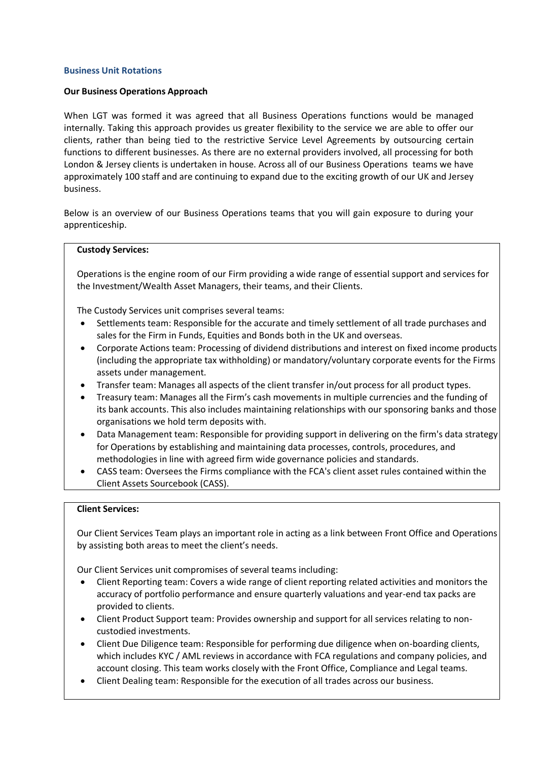# **Business Unit Rotations**

# **Our Business Operations Approach**

When LGT was formed it was agreed that all Business Operations functions would be managed internally. Taking this approach provides us greater flexibility to the service we are able to offer our clients, rather than being tied to the restrictive Service Level Agreements by outsourcing certain functions to different businesses. As there are no external providers involved, all processing for both London & Jersey clients is undertaken in house. Across all of our Business Operations teams we have approximately 100 staff and are continuing to expand due to the exciting growth of our UK and Jersey business.

Below is an overview of our Business Operations teams that you will gain exposure to during your apprenticeship.

## **Custody Services:**

Operations is the engine room of our Firm providing a wide range of essential support and services for the Investment/Wealth Asset Managers, their teams, and their Clients.

The Custody Services unit comprises several teams:

- Settlements team: Responsible for the accurate and timely settlement of all trade purchases and sales for the Firm in Funds, Equities and Bonds both in the UK and overseas.
- Corporate Actions team: Processing of dividend distributions and interest on fixed income products (including the appropriate tax withholding) or mandatory/voluntary corporate events for the Firms assets under management.
- Transfer team: Manages all aspects of the client transfer in/out process for all product types.
- Treasury team: Manages all the Firm's cash movements in multiple currencies and the funding of its bank accounts. This also includes maintaining relationships with our sponsoring banks and those organisations we hold term deposits with.
- Data Management team: Responsible for providing support in delivering on the firm's data strategy for Operations by establishing and maintaining data processes, controls, procedures, and methodologies in line with agreed firm wide governance policies and standards.
- CASS team: Oversees the Firms compliance with the FCA's client asset rules contained within the Client Assets Sourcebook (CASS).

## **Client Services:**

Our Client Services Team plays an important role in acting as a link between Front Office and Operations by assisting both areas to meet the client's needs.

Our Client Services unit compromises of several teams including:

- Client Reporting team: Covers a wide range of client reporting related activities and monitors the accuracy of portfolio performance and ensure quarterly valuations and year-end tax packs are provided to clients.
- Client Product Support team: Provides ownership and support for all services relating to noncustodied investments.
- Client Due Diligence team: Responsible for performing due diligence when on-boarding clients, which includes KYC / AML reviews in accordance with FCA regulations and company policies, and account closing. This team works closely with the Front Office, Compliance and Legal teams.
- Client Dealing team: Responsible for the execution of all trades across our business.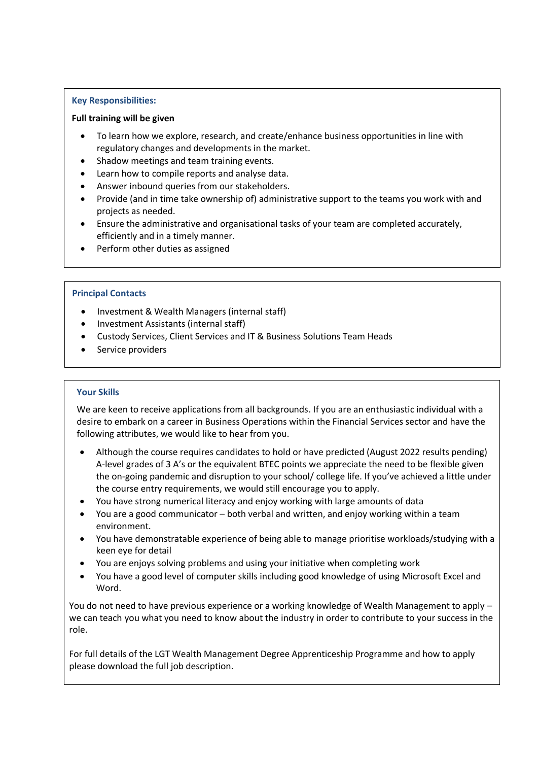# **Key Responsibilities:**

# **Full training will be given**

- To learn how we explore, research, and create/enhance business opportunities in line with regulatory changes and developments in the market.
- Shadow meetings and team training events.
- Learn how to compile reports and analyse data.
- Answer inbound queries from our stakeholders.
- Provide (and in time take ownership of) administrative support to the teams you work with and projects as needed.
- Ensure the administrative and organisational tasks of your team are completed accurately, efficiently and in a timely manner.
- Perform other duties as assigned

# **Principal Contacts**

- Investment & Wealth Managers (internal staff)
- Investment Assistants (internal staff)
- Custody Services, Client Services and IT & Business Solutions Team Heads
- Service providers

# **Your Skills**

We are keen to receive applications from all backgrounds. If you are an enthusiastic individual with a desire to embark on a career in Business Operations within the Financial Services sector and have the following attributes, we would like to hear from you.

- Although the course requires candidates to hold or have predicted (August 2022 results pending) A-level grades of 3 A's or the equivalent BTEC points we appreciate the need to be flexible given the on-going pandemic and disruption to your school/ college life. If you've achieved a little under the course entry requirements, we would still encourage you to apply.
- You have strong numerical literacy and enjoy working with large amounts of data
- You are a good communicator both verbal and written, and enjoy working within a team environment.
- You have demonstratable experience of being able to manage prioritise workloads/studying with a keen eye for detail
- You are enjoys solving problems and using your initiative when completing work
- You have a good level of computer skills including good knowledge of using Microsoft Excel and Word.

You do not need to have previous experience or a working knowledge of Wealth Management to apply – we can teach you what you need to know about the industry in order to contribute to your success in the role.

For full details of the LGT Wealth Management Degree Apprenticeship Programme and how to apply please download the full job description.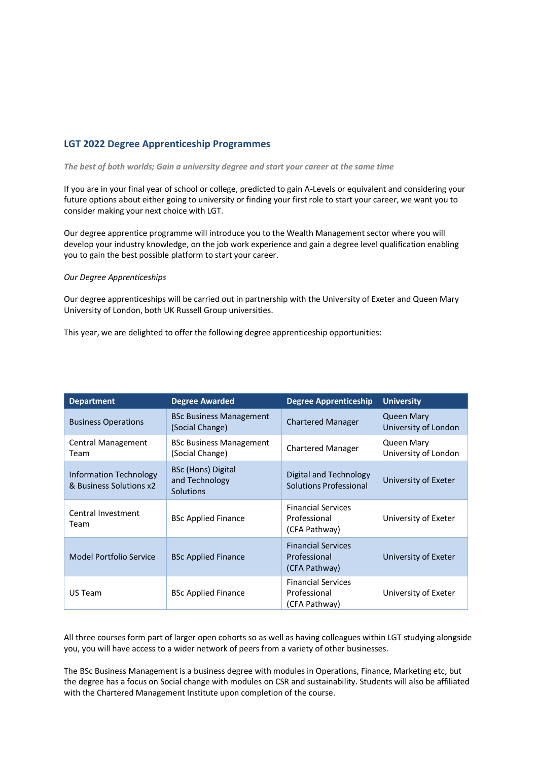# **LGT 2022 Degree Apprenticeship Programmes**

*The best of both worlds; Gain a university degree and start your career at the same time* 

If you are in your final year of school or college, predicted to gain A-Levels or equivalent and considering your future options about either going to university or finding your first role to start your career, we want you to consider making your next choice with LGT.

Our degree apprentice programme will introduce you to the Wealth Management sector where you will develop your industry knowledge, on the job work experience and gain a degree level qualification enabling you to gain the best possible platform to start your career.

### *Our Degree Apprenticeships*

Our degree apprenticeships will be carried out in partnership with the University of Exeter and Queen Mary University of London, both UK Russell Group universities.

This year, we are delighted to offer the following degree apprenticeship opportunities:

| <b>Department</b>                                        | <b>Degree Awarded</b>                             | <b>Degree Apprenticeship</b>                               | <b>University</b>                         |
|----------------------------------------------------------|---------------------------------------------------|------------------------------------------------------------|-------------------------------------------|
| <b>Business Operations</b>                               | <b>BSc Business Management</b><br>(Social Change) | <b>Chartered Manager</b>                                   | <b>Queen Mary</b><br>University of London |
| Central Management<br>Team                               | <b>BSc Business Management</b><br>(Social Change) | <b>Chartered Manager</b>                                   | <b>Queen Mary</b><br>University of London |
| <b>Information Technology</b><br>& Business Solutions x2 | BSc (Hons) Digital<br>and Technology<br>Solutions | Digital and Technology<br>Solutions Professional           | University of Exeter                      |
| Central Investment<br>Team                               | <b>BSc Applied Finance</b>                        | <b>Financial Services</b><br>Professional<br>(CFA Pathway) | University of Exeter                      |
| Model Portfolio Service                                  | <b>BSc Applied Finance</b>                        | <b>Financial Services</b><br>Professional<br>(CFA Pathway) | University of Exeter                      |
| US Team                                                  | <b>BSc Applied Finance</b>                        | <b>Financial Services</b><br>Professional<br>(CFA Pathway) | University of Exeter                      |

All three courses form part of larger open cohorts so as well as having colleagues within LGT studying alongside you, you will have access to a wider network of peers from a variety of other businesses.

The BSc Business Management is a business degree with modules in Operations, Finance, Marketing etc, but the degree has a focus on Social change with modules on CSR and sustainability. Students will also be affiliated with the Chartered Management Institute upon completion of the course.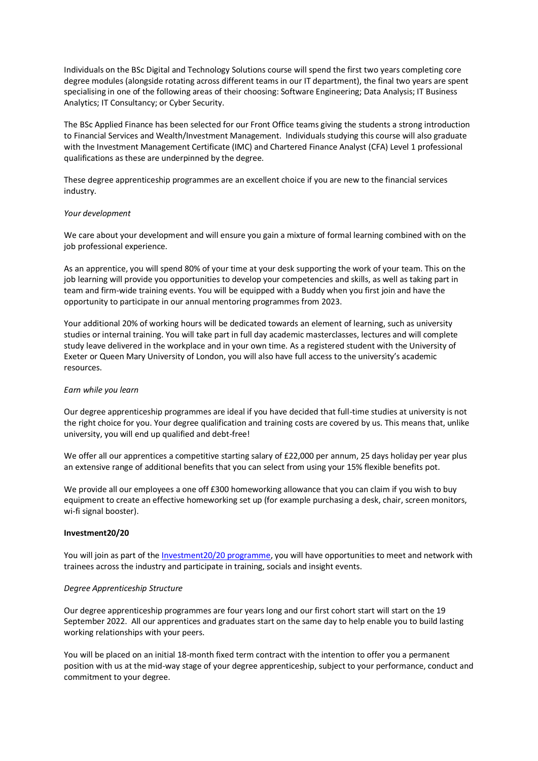Individuals on the BSc Digital and Technology Solutions course will spend the first two years completing core degree modules (alongside rotating across different teams in our IT department), the final two years are spent specialising in one of the following areas of their choosing: Software Engineering; Data Analysis; IT Business Analytics; IT Consultancy; or Cyber Security.

The BSc Applied Finance has been selected for our Front Office teams giving the students a strong introduction to Financial Services and Wealth/Investment Management. Individuals studying this course will also graduate with the Investment Management Certificate (IMC) and Chartered Finance Analyst (CFA) Level 1 professional qualifications as these are underpinned by the degree.

These degree apprenticeship programmes are an excellent choice if you are new to the financial services industry.

### *Your development*

We care about your development and will ensure you gain a mixture of formal learning combined with on the job professional experience.

As an apprentice, you will spend 80% of your time at your desk supporting the work of your team. This on the job learning will provide you opportunities to develop your competencies and skills, as well as taking part in team and firm-wide training events. You will be equipped with a Buddy when you first join and have the opportunity to participate in our annual mentoring programmes from 2023.

Your additional 20% of working hours will be dedicated towards an element of learning, such as university studies or internal training. You will take part in full day academic masterclasses, lectures and will complete study leave delivered in the workplace and in your own time. As a registered student with the University of Exeter or Queen Mary University of London, you will also have full access to the university's academic resources.

## *Earn while you learn*

Our degree apprenticeship programmes are ideal if you have decided that full-time studies at university is not the right choice for you. Your degree qualification and training costs are covered by us. This means that, unlike university, you will end up qualified and debt-free!

We offer all our apprentices a competitive starting salary of £22,000 per annum, 25 days holiday per year plus an extensive range of additional benefits that you can select from using your 15% flexible benefits pot.

We provide all our employees a one off £300 homeworking allowance that you can claim if you wish to buy equipment to create an effective homeworking set up (for example purchasing a desk, chair, screen monitors, wi-fi signal booster).

#### **Investment20/20**

You will join as part of the [Investment20/20 programme,](https://www.investment2020.org.uk/) you will have opportunities to meet and network with trainees across the industry and participate in training, socials and insight events.

## *Degree Apprenticeship Structure*

Our degree apprenticeship programmes are four years long and our first cohort start will start on the 19 September 2022. All our apprentices and graduates start on the same day to help enable you to build lasting working relationships with your peers.

You will be placed on an initial 18-month fixed term contract with the intention to offer you a permanent position with us at the mid-way stage of your degree apprenticeship, subject to your performance, conduct and commitment to your degree.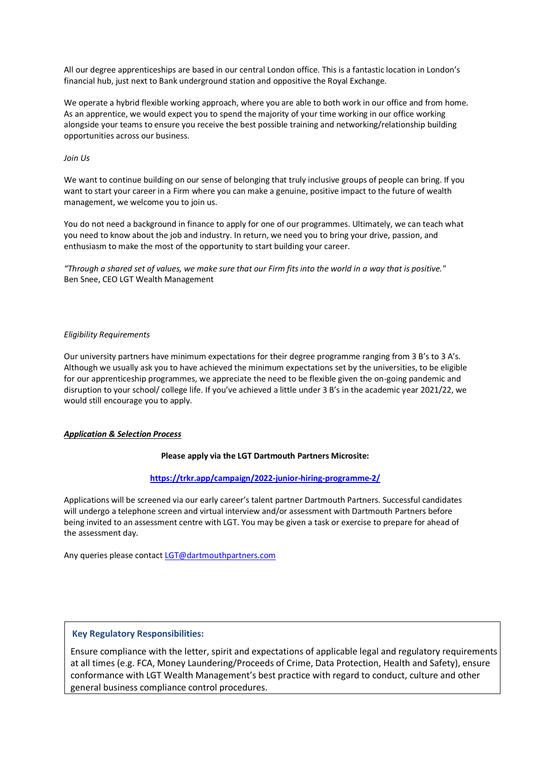All our degree apprenticeships are based in our central London office. This is a fantastic location in London's financial hub, just next to Bank underground station and oppositive the Royal Exchange.

We operate a hybrid flexible working approach, where you are able to both work in our office and from home. As an apprentice, we would expect you to spend the majority of your time working in our office working alongside your teams to ensure you receive the best possible training and networking/relationship building opportunities across our business.

## *Join Us*

We want to continue building on our sense of belonging that truly inclusive groups of people can bring. If you want to start your career in a Firm where you can make a genuine, positive impact to the future of wealth management, we welcome you to join us.

You do not need a background in finance to apply for one of our programmes. Ultimately, we can teach what you need to know about the job and industry. In return, we need you to bring your drive, passion, and enthusiasm to make the most of the opportunity to start building your career.

*"Through a shared set of values, we make sure that our Firm fits into the world in a way that is positive."* Ben Snee, CEO LGT Wealth Management

# *Eligibility Requirements*

Our university partners have minimum expectations for their degree programme ranging from 3 B's to 3 A's. Although we usually ask you to have achieved the minimum expectations set by the universities, to be eligible for our apprenticeship programmes, we appreciate the need to be flexible given the on-going pandemic and disruption to your school/ college life. If you've achieved a little under 3 B's in the academic year 2021/22, we would still encourage you to apply.

# *Application & Selection Process*

## **Please apply via the LGT Dartmouth Partners Microsite:**

# **<https://trkr.app/campaign/2022-junior-hiring-programme-2/>**

Applications will be screened via our early career's talent partner Dartmouth Partners. Successful candidates will undergo a telephone screen and virtual interview and/or assessment with Dartmouth Partners before being invited to an assessment centre with LGT. You may be given a task or exercise to prepare for ahead of the assessment day.

Any queries please contac[t LGT@dartmouthpartners.com](mailto:LGT@dartmouthpartners.com)

# **Key Regulatory Responsibilities:**

Ensure compliance with the letter, spirit and expectations of applicable legal and regulatory requirements at all times (e.g. FCA, Money Laundering/Proceeds of Crime, Data Protection, Health and Safety), ensure conformance with LGT Wealth Management's best practice with regard to conduct, culture and other general business compliance control procedures.